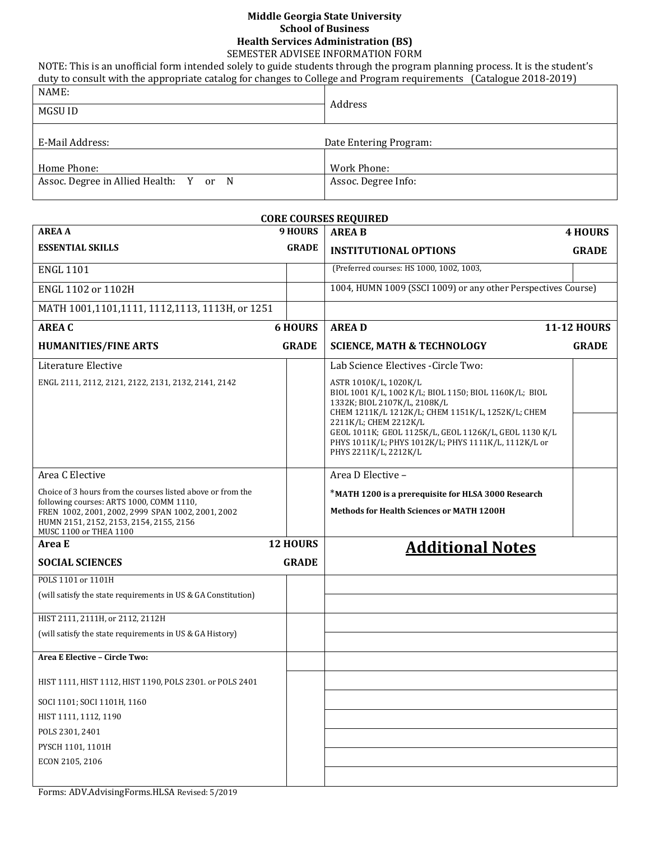## **Middle Georgia State University School of Business Health Services Administration (BS)**

SEMESTER ADVISEE INFORMATION FORM NOTE: This is an unofficial form intended solely to guide students through the program planning process. It is the student's

duty to consult with the appropriate catalog for changes to College and Program requirements (Catalogue 2018-2019)

| NAME:                                  |                        |
|----------------------------------------|------------------------|
| MGSU ID                                | Address                |
|                                        |                        |
| E-Mail Address:                        | Date Entering Program: |
|                                        |                        |
| Home Phone:                            | Work Phone:            |
| Assoc. Degree in Allied Health: Y or N | Assoc. Degree Info:    |
|                                        |                        |

|                                                                                                                                                                                                                                   |                 | <b>CORE COURSES REQUIRED</b>                                                                                                                                                                                                                                                                                                            |                    |
|-----------------------------------------------------------------------------------------------------------------------------------------------------------------------------------------------------------------------------------|-----------------|-----------------------------------------------------------------------------------------------------------------------------------------------------------------------------------------------------------------------------------------------------------------------------------------------------------------------------------------|--------------------|
| <b>AREA A</b>                                                                                                                                                                                                                     | <b>9 HOURS</b>  | <b>AREA B</b>                                                                                                                                                                                                                                                                                                                           | <b>4 HOURS</b>     |
| <b>ESSENTIAL SKILLS</b>                                                                                                                                                                                                           | <b>GRADE</b>    | <b>INSTITUTIONAL OPTIONS</b>                                                                                                                                                                                                                                                                                                            | <b>GRADE</b>       |
| <b>ENGL 1101</b>                                                                                                                                                                                                                  |                 | (Preferred courses: HS 1000, 1002, 1003,                                                                                                                                                                                                                                                                                                |                    |
| ENGL 1102 or 1102H                                                                                                                                                                                                                |                 | 1004, HUMN 1009 (SSCI 1009) or any other Perspectives Course)                                                                                                                                                                                                                                                                           |                    |
| MATH 1001,1101,1111, 1112,1113, 1113H, or 1251                                                                                                                                                                                    |                 |                                                                                                                                                                                                                                                                                                                                         |                    |
| <b>AREA C</b>                                                                                                                                                                                                                     | <b>6 HOURS</b>  | <b>AREAD</b>                                                                                                                                                                                                                                                                                                                            | <b>11-12 HOURS</b> |
| <b>HUMANITIES/FINE ARTS</b>                                                                                                                                                                                                       | <b>GRADE</b>    | <b>SCIENCE, MATH &amp; TECHNOLOGY</b>                                                                                                                                                                                                                                                                                                   | <b>GRADE</b>       |
| Literature Elective                                                                                                                                                                                                               |                 | Lab Science Electives - Circle Two:                                                                                                                                                                                                                                                                                                     |                    |
| ENGL 2111, 2112, 2121, 2122, 2131, 2132, 2141, 2142                                                                                                                                                                               |                 | ASTR 1010K/L, 1020K/L<br>BIOL 1001 K/L, 1002 K/L; BIOL 1150; BIOL 1160K/L; BIOL<br>1332K; BIOL 2107K/L, 2108K/L<br>CHEM 1211K/L 1212K/L; CHEM 1151K/L, 1252K/L; CHEM<br>2211K/L; CHEM 2212K/L<br>GEOL 1011K; GEOL 1125K/L, GEOL 1126K/L, GEOL 1130 K/L<br>PHYS 1011K/L; PHYS 1012K/L; PHYS 1111K/L, 1112K/L or<br>PHYS 2211K/L, 2212K/L |                    |
| Area C Elective                                                                                                                                                                                                                   |                 | Area D Elective -                                                                                                                                                                                                                                                                                                                       |                    |
| Choice of 3 hours from the courses listed above or from the<br>following courses: ARTS 1000, COMM 1110,<br>FREN 1002, 2001, 2002, 2999 SPAN 1002, 2001, 2002<br>HUMN 2151, 2152, 2153, 2154, 2155, 2156<br>MUSC 1100 or THEA 1100 |                 | *MATH 1200 is a prerequisite for HLSA 3000 Research<br><b>Methods for Health Sciences or MATH 1200H</b>                                                                                                                                                                                                                                 |                    |
| Area E                                                                                                                                                                                                                            | <b>12 HOURS</b> | <b>Additional Notes</b>                                                                                                                                                                                                                                                                                                                 |                    |
| <b>SOCIAL SCIENCES</b>                                                                                                                                                                                                            | <b>GRADE</b>    |                                                                                                                                                                                                                                                                                                                                         |                    |
| POLS 1101 or 1101H                                                                                                                                                                                                                |                 |                                                                                                                                                                                                                                                                                                                                         |                    |
| (will satisfy the state requirements in US & GA Constitution)                                                                                                                                                                     |                 |                                                                                                                                                                                                                                                                                                                                         |                    |
| HIST 2111, 2111H, or 2112, 2112H                                                                                                                                                                                                  |                 |                                                                                                                                                                                                                                                                                                                                         |                    |
| (will satisfy the state requirements in US & GA History)                                                                                                                                                                          |                 |                                                                                                                                                                                                                                                                                                                                         |                    |
| Area E Elective - Circle Two:                                                                                                                                                                                                     |                 |                                                                                                                                                                                                                                                                                                                                         |                    |
| HIST 1111, HIST 1112, HIST 1190, POLS 2301. or POLS 2401                                                                                                                                                                          |                 |                                                                                                                                                                                                                                                                                                                                         |                    |
| SOCI 1101; SOCI 1101H, 1160                                                                                                                                                                                                       |                 |                                                                                                                                                                                                                                                                                                                                         |                    |
| HIST 1111, 1112, 1190                                                                                                                                                                                                             |                 |                                                                                                                                                                                                                                                                                                                                         |                    |
| POLS 2301, 2401                                                                                                                                                                                                                   |                 |                                                                                                                                                                                                                                                                                                                                         |                    |
| PYSCH 1101, 1101H                                                                                                                                                                                                                 |                 |                                                                                                                                                                                                                                                                                                                                         |                    |
| ECON 2105, 2106                                                                                                                                                                                                                   |                 |                                                                                                                                                                                                                                                                                                                                         |                    |
|                                                                                                                                                                                                                                   |                 |                                                                                                                                                                                                                                                                                                                                         |                    |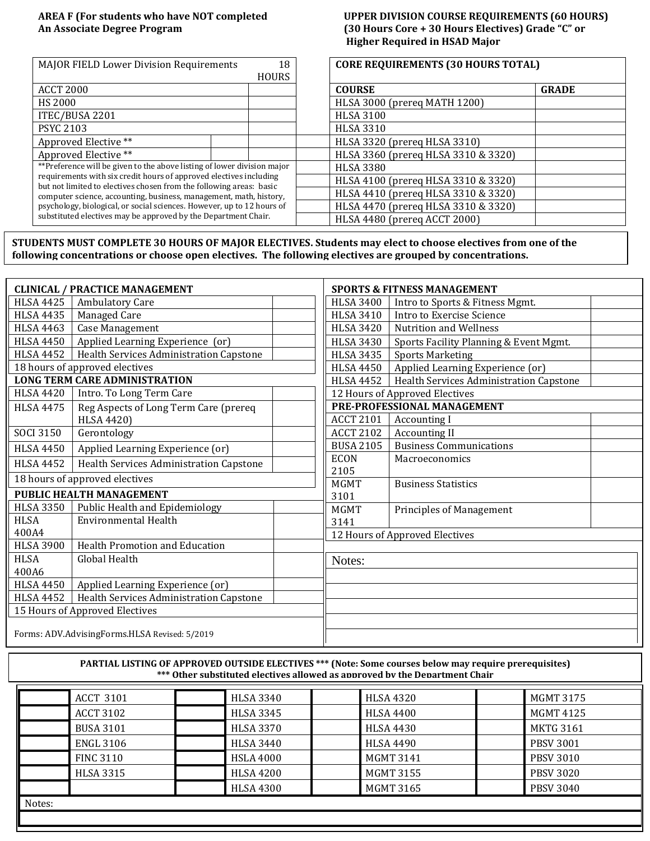### **AREA F (For students who have NOT completed UPPER DIVISION COURSE REQUIREMENTS (60 HOURS) An Associate Degree Program (30 Hours Core + 30 Hours Electives) Grade "C" or Higher Required in HSAD Major**

| <b>MAJOR FIELD Lower Division Requirements</b>                                                                                            | 18           | <b>CORE REQUIREMENTS (30 HOURS TOTAL)</b> |              |
|-------------------------------------------------------------------------------------------------------------------------------------------|--------------|-------------------------------------------|--------------|
|                                                                                                                                           | <b>HOURS</b> |                                           |              |
| <b>ACCT 2000</b>                                                                                                                          |              | <b>COURSE</b>                             | <b>GRADE</b> |
| <b>HS 2000</b>                                                                                                                            |              | HLSA 3000 (prereq MATH 1200)              |              |
| ITEC/BUSA 2201                                                                                                                            |              | <b>HLSA 3100</b>                          |              |
| <b>PSYC 2103</b>                                                                                                                          |              | <b>HLSA 3310</b>                          |              |
| Approved Elective **                                                                                                                      |              | HLSA 3320 (prereq HLSA 3310)              |              |
| Approved Elective **                                                                                                                      |              | HLSA 3360 (prereq HLSA 3310 & 3320)       |              |
| **Preference will be given to the above listing of lower division major                                                                   |              | <b>HLSA 3380</b>                          |              |
| requirements with six credit hours of approved electives including                                                                        |              | HLSA 4100 (prereq HLSA 3310 & 3320)       |              |
| but not limited to electives chosen from the following areas: basic<br>computer science, accounting, business, management, math, history, |              | HLSA 4410 (prereq HLSA 3310 & 3320)       |              |
| psychology, biological, or social sciences. However, up to 12 hours of                                                                    |              | HLSA 4470 (prereq HLSA 3310 & 3320)       |              |
| substituted electives may be approved by the Department Chair.                                                                            |              | HLSA 4480 (prereq ACCT 2000)              |              |

**STUDENTS MUST COMPLETE 30 HOURS OF MAJOR ELECTIVES. Students may elect to choose electives from one of the following concentrations or choose open electives. The following electives are grouped by concentrations.** 

|                  | <b>CLINICAL / PRACTICE MANAGEMENT</b>         | <b>SPORTS &amp; FITNESS MANAGEMENT</b> |                                         |  |  |
|------------------|-----------------------------------------------|----------------------------------------|-----------------------------------------|--|--|
| <b>HLSA 4425</b> | Ambulatory Care                               | <b>HLSA 3400</b>                       | Intro to Sports & Fitness Mgmt.         |  |  |
| <b>HLSA 4435</b> | Managed Care                                  | <b>HLSA 3410</b>                       | Intro to Exercise Science               |  |  |
| <b>HLSA 4463</b> | <b>Case Management</b>                        | <b>HLSA 3420</b>                       | <b>Nutrition and Wellness</b>           |  |  |
| <b>HLSA 4450</b> | Applied Learning Experience (or)              | <b>HLSA 3430</b>                       | Sports Facility Planning & Event Mgmt.  |  |  |
| <b>HLSA 4452</b> | Health Services Administration Capstone       | HLSA 3435                              | <b>Sports Marketing</b>                 |  |  |
|                  | 18 hours of approved electives                | <b>HLSA 4450</b>                       | Applied Learning Experience (or)        |  |  |
|                  | <b>LONG TERM CARE ADMINISTRATION</b>          | <b>HLSA 4452</b>                       | Health Services Administration Capstone |  |  |
| <b>HLSA 4420</b> | Intro. To Long Term Care                      |                                        | 12 Hours of Approved Electives          |  |  |
| <b>HLSA 4475</b> | Reg Aspects of Long Term Care (prereq         |                                        | PRE-PROFESSIONAL MANAGEMENT             |  |  |
|                  | <b>HLSA 4420)</b>                             | <b>ACCT 2101</b>                       | <b>Accounting I</b>                     |  |  |
| <b>SOCI 3150</b> | Gerontology                                   | <b>ACCT 2102</b>                       | <b>Accounting II</b>                    |  |  |
| <b>HLSA 4450</b> | Applied Learning Experience (or)              | <b>BUSA 2105</b>                       | <b>Business Communications</b>          |  |  |
| <b>HLSA 4452</b> | Health Services Administration Capstone       | <b>ECON</b>                            | Macroeconomics                          |  |  |
|                  | 18 hours of approved electives                | 2105<br><b>MGMT</b>                    | <b>Business Statistics</b>              |  |  |
|                  | <b>PUBLIC HEALTH MANAGEMENT</b>               | 3101                                   |                                         |  |  |
| <b>HLSA 3350</b> | Public Health and Epidemiology                | <b>MGMT</b>                            | Principles of Management                |  |  |
| <b>HLSA</b>      | <b>Environmental Health</b>                   | 3141                                   |                                         |  |  |
| 400A4            |                                               |                                        | 12 Hours of Approved Electives          |  |  |
| <b>HLSA 3900</b> | <b>Health Promotion and Education</b>         |                                        |                                         |  |  |
| <b>HLSA</b>      | Global Health                                 | Notes:                                 |                                         |  |  |
| 400A6            |                                               |                                        |                                         |  |  |
| <b>HLSA 4450</b> | Applied Learning Experience (or)              |                                        |                                         |  |  |
| <b>HLSA 4452</b> | Health Services Administration Capstone       |                                        |                                         |  |  |
|                  | 15 Hours of Approved Electives                |                                        |                                         |  |  |
|                  | Forms: ADV.AdvisingForms.HLSA Revised: 5/2019 |                                        |                                         |  |  |

**PARTIAL LISTING OF APPROVED OUTSIDE ELECTIVES \*\*\* (Note: Some courses below may require prerequisites) \*\*\* Other substituted electives allowed as approved by the Department Chair**

| <b>ACCT 3101</b> | <b>HLSA 3340</b> | <b>HLSA 4320</b> | MGMT 3175        |
|------------------|------------------|------------------|------------------|
| <b>ACCT 3102</b> | <b>HLSA 3345</b> | <b>HLSA 4400</b> | <b>MGMT 4125</b> |
| <b>BUSA 3101</b> | <b>HLSA 3370</b> | <b>HLSA 4430</b> | <b>MKTG 3161</b> |
| <b>ENGL 3106</b> | <b>HLSA 3440</b> | <b>HLSA 4490</b> | <b>PBSV 3001</b> |
| <b>FINC 3110</b> | <b>HSLA 4000</b> | <b>MGMT 3141</b> | <b>PBSV 3010</b> |
| <b>HLSA 3315</b> | <b>HLSA 4200</b> | <b>MGMT 3155</b> | <b>PBSV 3020</b> |
|                  | <b>HLSA 4300</b> | <b>MGMT 3165</b> | <b>PBSV 3040</b> |
| Notes:           |                  |                  |                  |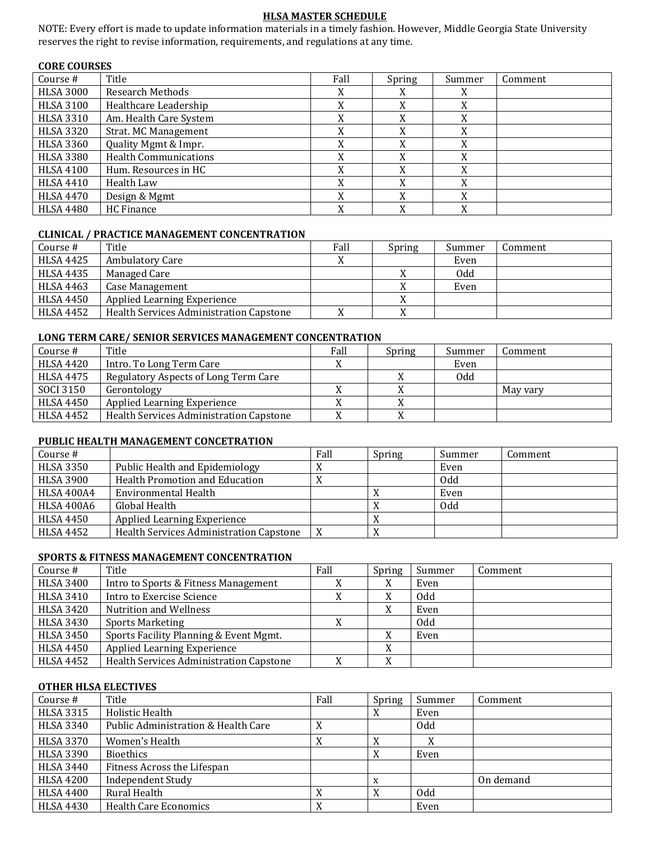# **HLSA MASTER SCHEDULE**

NOTE: Every effort is made to update information materials in a timely fashion. However, Middle Georgia State University reserves the right to revise information, requirements, and regulations at any time.

### **CORE COURSES**

| Course #         | Title                        | Fall | Spring | Summer | Comment |
|------------------|------------------------------|------|--------|--------|---------|
| <b>HLSA 3000</b> | <b>Research Methods</b>      |      | X      | X      |         |
| <b>HLSA 3100</b> | Healthcare Leadership        |      | X      | X      |         |
| <b>HLSA 3310</b> | Am. Health Care System       |      | X      | X      |         |
| <b>HLSA 3320</b> | <b>Strat. MC Management</b>  |      | X      | X      |         |
| <b>HLSA 3360</b> | Quality Mgmt & Impr.         |      | X      | X      |         |
| <b>HLSA 3380</b> | <b>Health Communications</b> |      | X      | X      |         |
| <b>HLSA 4100</b> | Hum. Resources in HC         |      | X      | X      |         |
| HLSA 4410        | Health Law                   |      | X      | X      |         |
| HLSA 4470        | Design & Mgmt                |      | X      | X      |         |
| <b>HLSA 4480</b> | HC Finance                   |      | X      | X      |         |

#### **CLINICAL / PRACTICE MANAGEMENT CONCENTRATION**

| Course #         | Title                                   | Fall | Spring | Summer | Comment |
|------------------|-----------------------------------------|------|--------|--------|---------|
| <b>HLSA 4425</b> | <b>Ambulatory Care</b>                  |      |        | Even   |         |
| <b>HLSA 4435</b> | Managed Care                            |      |        | Odd    |         |
| <b>HLSA 4463</b> | Case Management                         |      |        | Even   |         |
| <b>HLSA 4450</b> | Applied Learning Experience             |      |        |        |         |
| <b>HLSA 4452</b> | Health Services Administration Capstone |      |        |        |         |

### **LONG TERM CARE/ SENIOR SERVICES MANAGEMENT CONCENTRATION**

| Course #         | Title                                   | Fall | Spring | Summer     | Comment  |
|------------------|-----------------------------------------|------|--------|------------|----------|
| <b>HLSA 4420</b> | Intro. To Long Term Care                |      |        | Even       |          |
| HLSA 4475        | Regulatory Aspects of Long Term Care    |      |        | <b>Odd</b> |          |
| SOCI 3150        | Gerontology                             |      |        |            | May yary |
| <b>HLSA 4450</b> | Applied Learning Experience             |      |        |            |          |
| <b>HLSA 4452</b> | Health Services Administration Capstone |      |        |            |          |

#### **PUBLIC HEALTH MANAGEMENT CONCETRATION**

| Course #          |                                         | Fall      | Spring | Summer | Comment |
|-------------------|-----------------------------------------|-----------|--------|--------|---------|
| <b>HLSA 3350</b>  | Public Health and Epidemiology          |           |        | Even   |         |
| <b>HLSA 3900</b>  | Health Promotion and Education          | $\Lambda$ |        | Odd    |         |
| <b>HLSA 400A4</b> | Environmental Health                    |           |        | Even   |         |
| HLSA 400A6        | Global Health                           |           |        | Odd    |         |
| HLSA 4450         | Applied Learning Experience             |           |        |        |         |
| <b>HLSA 4452</b>  | Health Services Administration Capstone |           |        |        |         |

#### **SPORTS & FITNESS MANAGEMENT CONCENTRATION**

| Course #         | Title                                          | Fall      | Spring         | Summer | Comment |
|------------------|------------------------------------------------|-----------|----------------|--------|---------|
| <b>HLSA 3400</b> | Intro to Sports & Fitness Management           |           | v<br>л         | Even   |         |
| <b>HLSA 3410</b> | Intro to Exercise Science                      | $\Lambda$ | v<br>Λ         | 0dd    |         |
| <b>HLSA 3420</b> | <b>Nutrition and Wellness</b>                  |           | X              | Even   |         |
| <b>HLSA 3430</b> | <b>Sports Marketing</b>                        |           |                | Odd    |         |
| <b>HLSA 3450</b> | Sports Facility Planning & Event Mgmt.         |           | v<br>Λ         | Even   |         |
| <b>HLSA 4450</b> | <b>Applied Learning Experience</b>             |           | v              |        |         |
| <b>HLSA 4452</b> | <b>Health Services Administration Capstone</b> |           | v<br>$\Lambda$ |        |         |

#### **OTHER HLSA ELECTIVES**

| Course #         | Title                               | Fall   | Spring | Summer | Comment   |
|------------------|-------------------------------------|--------|--------|--------|-----------|
| <b>HLSA 3315</b> | Holistic Health                     |        | X      | Even   |           |
| <b>HLSA 3340</b> | Public Administration & Health Care | X      |        | Odd    |           |
| <b>HLSA 3370</b> | Women's Health                      | X      | X      | X      |           |
| <b>HLSA 3390</b> | <b>Bioethics</b>                    |        | X      | Even   |           |
| <b>HLSA 3440</b> | Fitness Across the Lifespan         |        |        |        |           |
| <b>HLSA 4200</b> | <b>Independent Study</b>            |        | X      |        | On demand |
| <b>HLSA 4400</b> | Rural Health                        | v      | X      | Odd    |           |
| <b>HLSA 4430</b> | <b>Health Care Economics</b>        | v<br>Λ |        | Even   |           |